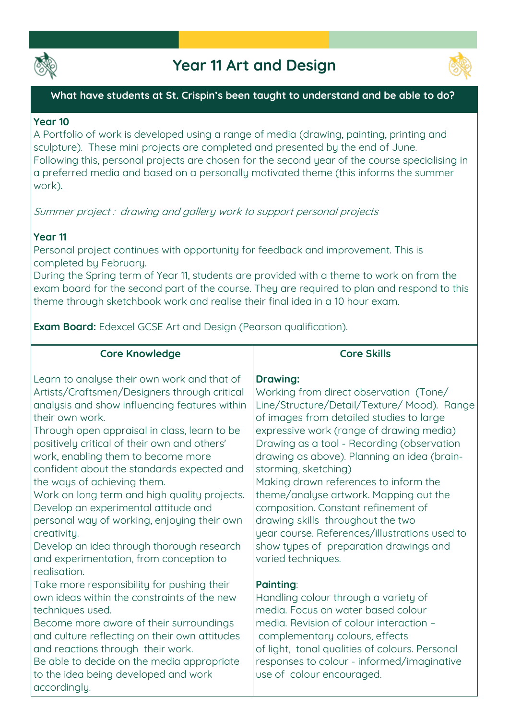



## **What have students at St. Crispin's been taught to understand and be able to do?**

## **Year 10**

**A Portfolio of work is developed using a range of media (drawing, painting, printing and sculpture). These mini projects are completed and presented by the end of June. Following this, personal projects are chosen for the second year of the course specialising in a preferred media and based on a personally motivated theme (this informs the summer work).**

**Summer project : drawing and gallery work to support personal projects**

# **Year 11**

**Personal project continues with opportunity for feedback and improvement. This is completed by February.** 

**During the Spring term of Year 11, students are provided with a theme to work on from the exam board for the second part of the course. They are required to plan and respond to this theme through sketchbook work and realise their final idea in a 10 hour exam.**

**Exam Board: Edexcel GCSE Art and Design (Pearson qualification).**

| <b>Core Knowledge</b>                                                                                                                                                                                                                                                                                                                                                                                                                                                                                                                                                                                                                            | <b>Core Skills</b>                                                                                                                                                                                                                                                                                                                                                                                                                                                                                                                                                                                    |
|--------------------------------------------------------------------------------------------------------------------------------------------------------------------------------------------------------------------------------------------------------------------------------------------------------------------------------------------------------------------------------------------------------------------------------------------------------------------------------------------------------------------------------------------------------------------------------------------------------------------------------------------------|-------------------------------------------------------------------------------------------------------------------------------------------------------------------------------------------------------------------------------------------------------------------------------------------------------------------------------------------------------------------------------------------------------------------------------------------------------------------------------------------------------------------------------------------------------------------------------------------------------|
| Learn to analyse their own work and that of<br>Artists/Craftsmen/Designers through critical<br>analysis and show influencing features within<br>their own work.<br>Through open appraisal in class, learn to be<br>positively critical of their own and others'<br>work, enabling them to become more<br>confident about the standards expected and<br>the ways of achieving them.<br>Work on long term and high quality projects.<br>Develop an experimental attitude and<br>personal way of working, enjoying their own<br>creativity.<br>Develop an idea through thorough research<br>and experimentation, from conception to<br>realisation. | <b>Drawing:</b><br>Working from direct observation (Tone/<br>Line/Structure/Detail/Texture/ Mood). Range<br>of images from detailed studies to large<br>expressive work (range of drawing media)<br>Drawing as a tool - Recording (observation<br>drawing as above). Planning an idea (brain-<br>storming, sketching)<br>Making drawn references to inform the<br>theme/analyse artwork. Mapping out the<br>composition. Constant refinement of<br>drawing skills throughout the two<br>year course. References/illustrations used to<br>show types of preparation drawings and<br>varied techniques. |
| Take more responsibility for pushing their<br>own ideas within the constraints of the new<br>techniques used.<br>Become more aware of their surroundings<br>and culture reflecting on their own attitudes<br>and reactions through their work.<br>Be able to decide on the media appropriate<br>to the idea being developed and work<br>accordingly.                                                                                                                                                                                                                                                                                             | <b>Painting:</b><br>Handling colour through a variety of<br>media. Focus on water based colour<br>media. Revision of colour interaction -<br>complementary colours, effects<br>of light, tonal qualities of colours. Personal<br>responses to colour - informed/imaginative<br>use of colour encouraged.                                                                                                                                                                                                                                                                                              |